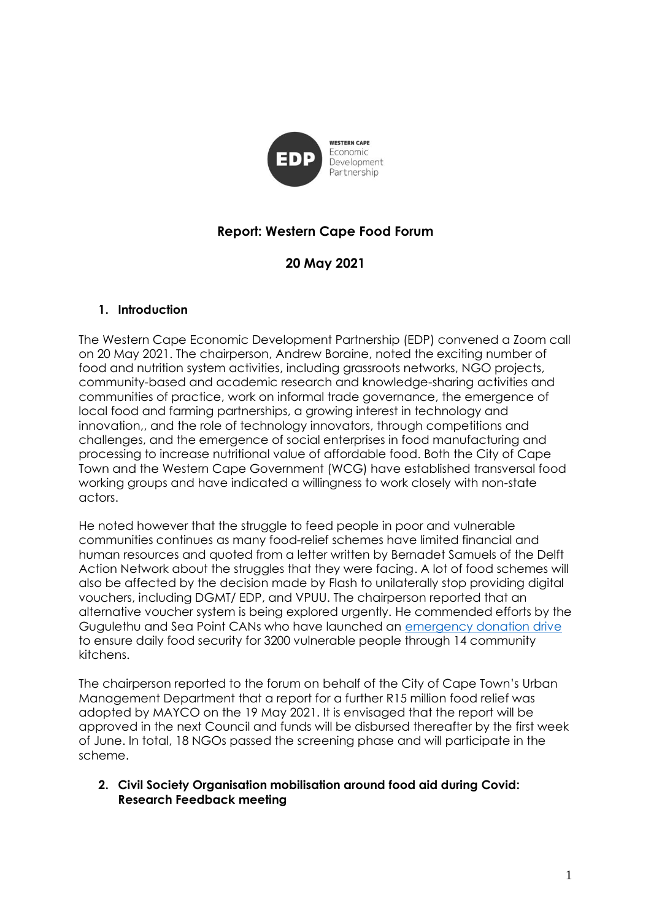

# **Report: Western Cape Food Forum**

# **20 May 2021**

### **1. Introduction**

The Western Cape Economic Development Partnership (EDP) convened a Zoom call on 20 May 2021. The chairperson, Andrew Boraine, noted the exciting number of food and nutrition system activities, including grassroots networks, NGO projects, community-based and academic research and knowledge-sharing activities and communities of practice, work on informal trade governance, the emergence of local food and farming partnerships, a growing interest in technology and innovation,, and the role of technology innovators, through competitions and challenges, and the emergence of social enterprises in food manufacturing and processing to increase nutritional value of affordable food. Both the City of Cape Town and the Western Cape Government (WCG) have established transversal food working groups and have indicated a willingness to work closely with non-state actors.

He noted however that the struggle to feed people in poor and vulnerable communities continues as many food-relief schemes have limited financial and human resources and quoted from a letter written by Bernadet Samuels of the Delft Action Network about the struggles that they were facing. A lot of food schemes will also be affected by the decision made by Flash to unilaterally stop providing digital vouchers, including DGMT/ EDP, and VPUU. The chairperson reported that an alternative voucher system is being explored urgently. He commended efforts by the Gugulethu and Sea Point CANs who have launched an [emergency donation drive](https://seaboardcan.org/Donate) to ensure daily food security for 3200 vulnerable people through 14 community kitchens.

The chairperson reported to the forum on behalf of the City of Cape Town's Urban Management Department that a report for a further R15 million food relief was adopted by MAYCO on the 19 May 2021. It is envisaged that the report will be approved in the next Council and funds will be disbursed thereafter by the first week of June. In total, 18 NGOs passed the screening phase and will participate in the scheme.

### **2. Civil Society Organisation mobilisation around food aid during Covid: Research Feedback meeting**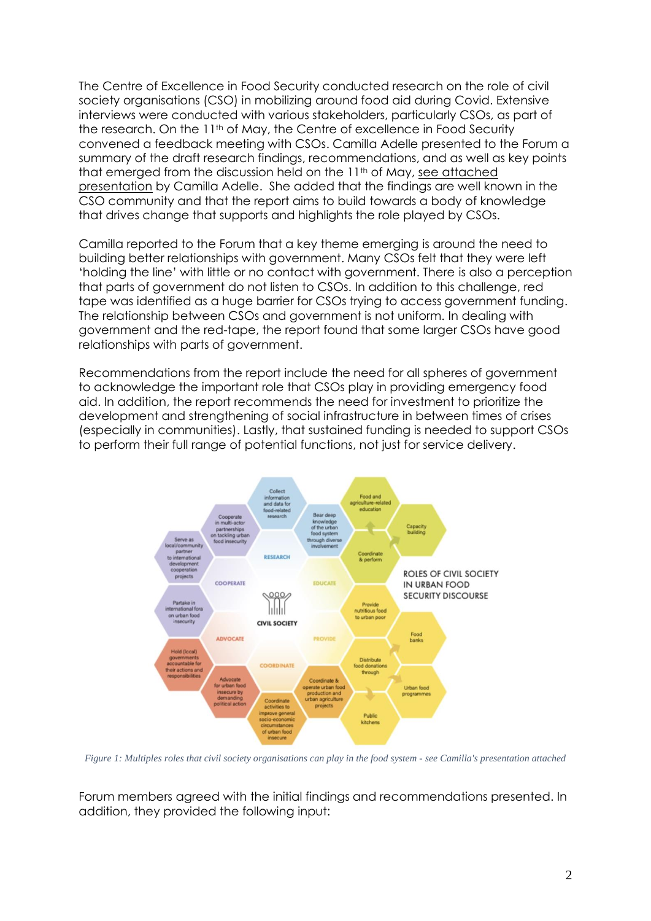The Centre of Excellence in Food Security conducted research on the role of civil society organisations (CSO) in mobilizing around food aid during Covid. Extensive interviews were conducted with various stakeholders, particularly CSOs, as part of the research. On the 11<sup>th</sup> of May, the Centre of excellence in Food Security convened a feedback meeting with CSOs. Camilla Adelle presented to the Forum a summary of the draft research findings, recommendations, and as well as key points that emerged from the discussion held on the 11<sup>th</sup> of May, see attached presentation by Camilla Adelle. She added that the findings are well known in the CSO community and that the report aims to build towards a body of knowledge that drives change that supports and highlights the role played by CSOs.

Camilla reported to the Forum that a key theme emerging is around the need to building better relationships with government. Many CSOs felt that they were left 'holding the line' with little or no contact with government. There is also a perception that parts of government do not listen to CSOs. In addition to this challenge, red tape was identified as a huge barrier for CSOs trying to access government funding. The relationship between CSOs and government is not uniform. In dealing with government and the red-tape, the report found that some larger CSOs have good relationships with parts of government.

Recommendations from the report include the need for all spheres of government to acknowledge the important role that CSOs play in providing emergency food aid. In addition, the report recommends the need for investment to prioritize the development and strengthening of social infrastructure in between times of crises (especially in communities). Lastly, that sustained funding is needed to support CSOs to perform their full range of potential functions, not just for service delivery.



*Figure 1: Multiples roles that civil society organisations can play in the food system - see Camilla's presentation attached*

Forum members agreed with the initial findings and recommendations presented. In addition, they provided the following input: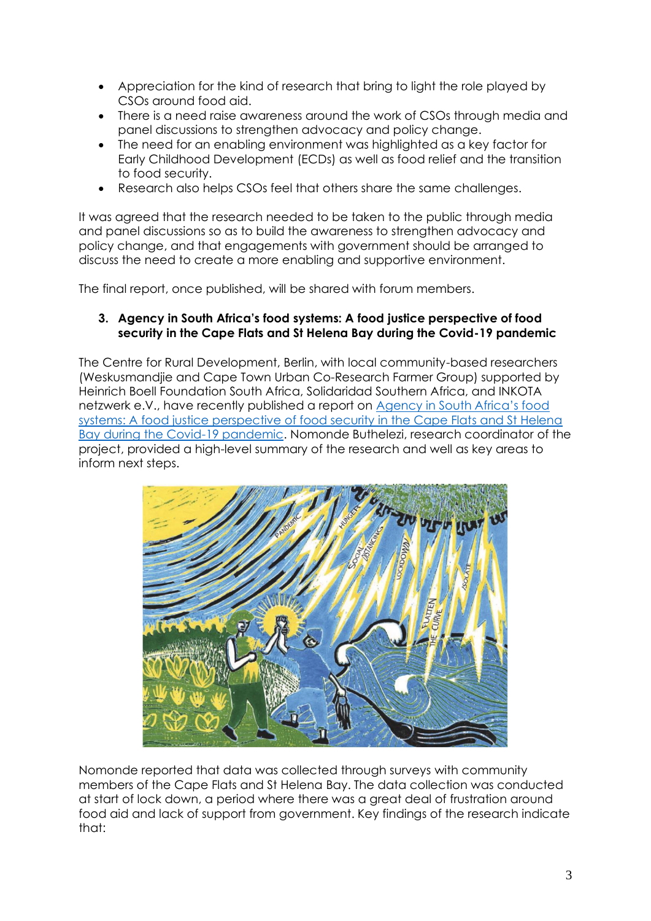- Appreciation for the kind of research that bring to light the role played by CSOs around food aid.
- There is a need raise awareness around the work of CSOs through media and panel discussions to strengthen advocacy and policy change.
- The need for an enabling environment was highlighted as a key factor for Early Childhood Development (ECDs) as well as food relief and the transition to food security.
- Research also helps CSOs feel that others share the same challenges.

It was agreed that the research needed to be taken to the public through media and panel discussions so as to build the awareness to strengthen advocacy and policy change, and that engagements with government should be arranged to discuss the need to create a more enabling and supportive environment.

The final report, once published, will be shared with forum members.

### **3. Agency in South Africa's food systems: A food justice perspective of food security in the Cape Flats and St Helena Bay during the Covid-19 pandemic**

The Centre for Rural Development, Berlin, with local community-based researchers (Weskusmandjie and Cape Town Urban Co-Research Farmer Group) supported by Heinrich Boell Foundation South Africa, Solidaridad Southern Africa, and INKOTA netzwerk e.V., have recently published a report on [Agency in South Africa's food](https://edoc.hu-berlin.de/bitstream/handle/18452/23545/SLE285_Agency_in_South_Africas_food_systems.pdf?sequence=1)  [systems: A food justice perspective of food security in the Cape Flats and St Helena](https://edoc.hu-berlin.de/bitstream/handle/18452/23545/SLE285_Agency_in_South_Africas_food_systems.pdf?sequence=1)  [Bay during the Covid-19 pandemic.](https://edoc.hu-berlin.de/bitstream/handle/18452/23545/SLE285_Agency_in_South_Africas_food_systems.pdf?sequence=1) Nomonde Buthelezi, research coordinator of the project, provided a high-level summary of the research and well as key areas to inform next steps.



Nomonde reported that data was collected through surveys with community members of the Cape Flats and St Helena Bay. The data collection was conducted at start of lock down, a period where there was a great deal of frustration around food aid and lack of support from government. Key findings of the research indicate that: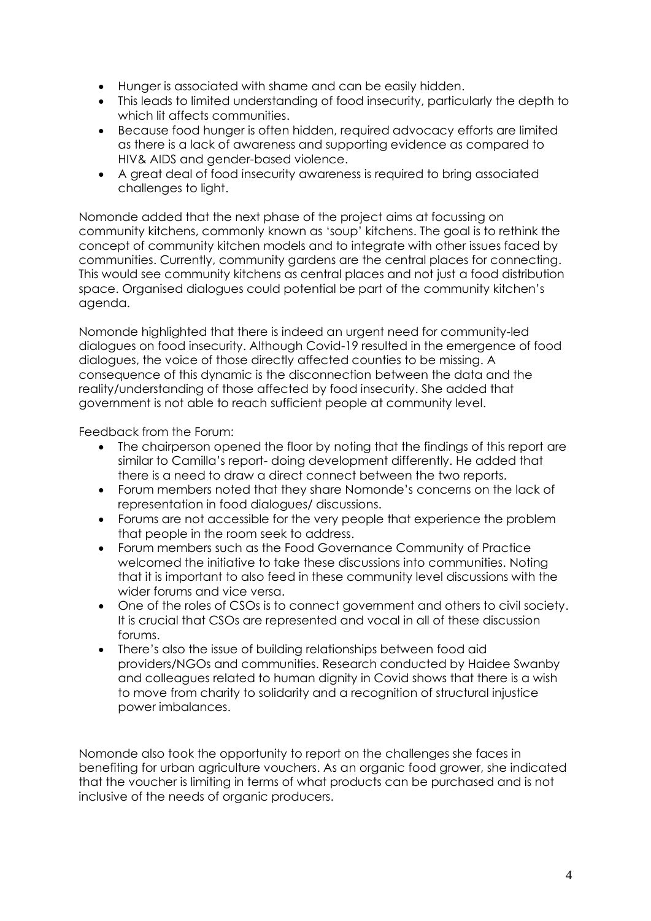- Hunger is associated with shame and can be easily hidden.
- This leads to limited understanding of food insecurity, particularly the depth to which lit affects communities.
- Because food hunger is often hidden, required advocacy efforts are limited as there is a lack of awareness and supporting evidence as compared to HIV& AIDS and gender-based violence.
- A great deal of food insecurity awareness is required to bring associated challenges to light.

Nomonde added that the next phase of the project aims at focussing on community kitchens, commonly known as 'soup' kitchens. The goal is to rethink the concept of community kitchen models and to integrate with other issues faced by communities. Currently, community gardens are the central places for connecting. This would see community kitchens as central places and not just a food distribution space. Organised dialogues could potential be part of the community kitchen's agenda.

Nomonde highlighted that there is indeed an urgent need for community-led dialogues on food insecurity. Although Covid-19 resulted in the emergence of food dialogues, the voice of those directly affected counties to be missing. A consequence of this dynamic is the disconnection between the data and the reality/understanding of those affected by food insecurity. She added that government is not able to reach sufficient people at community level.

Feedback from the Forum:

- The chairperson opened the floor by noting that the findings of this report are similar to Camilla's report- doing development differently. He added that there is a need to draw a direct connect between the two reports.
- Forum members noted that they share Nomonde's concerns on the lack of representation in food dialogues/ discussions.
- Forums are not accessible for the very people that experience the problem that people in the room seek to address.
- Forum members such as the Food Governance Community of Practice welcomed the initiative to take these discussions into communities. Noting that it is important to also feed in these community level discussions with the wider forums and vice versa.
- One of the roles of CSOs is to connect government and others to civil society. It is crucial that CSOs are represented and vocal in all of these discussion forums.
- There's also the issue of building relationships between food aid providers/NGOs and communities. Research conducted by Haidee Swanby and colleagues related to human dignity in Covid shows that there is a wish to move from charity to solidarity and a recognition of structural injustice power imbalances.

Nomonde also took the opportunity to report on the challenges she faces in benefiting for urban agriculture vouchers. As an organic food grower, she indicated that the voucher is limiting in terms of what products can be purchased and is not inclusive of the needs of organic producers.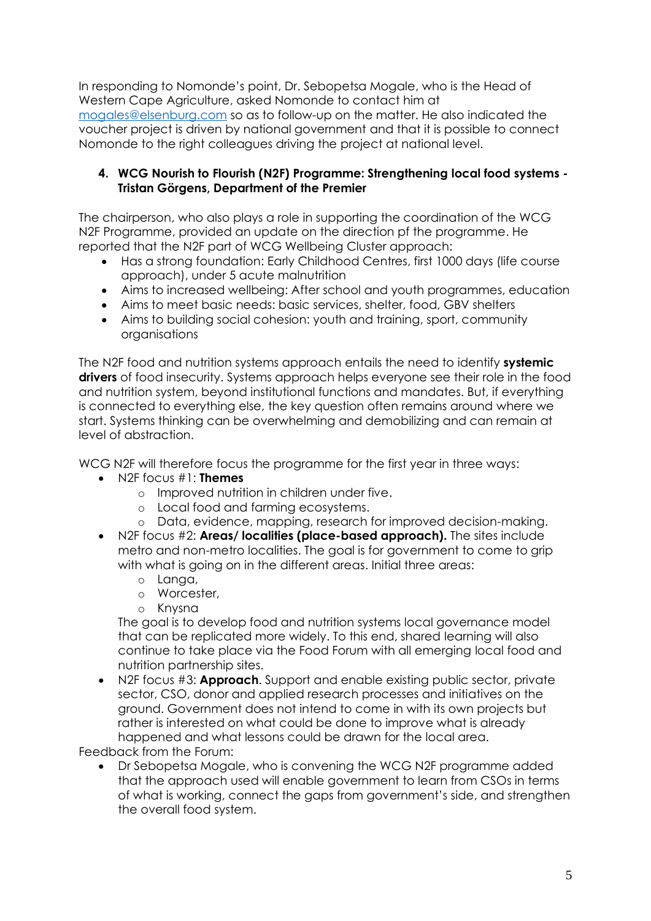In responding to Nomonde's point, Dr. Sebopetsa Mogale, who is the Head of Western Cape Agriculture, asked Nomonde to contact him at [mogales@elsenburg.com](mailto:mogales@elsenburg.com) so as to follow-up on the matter. He also indicated the voucher project is driven by national government and that it is possible to connect Nomonde to the right colleagues driving the project at national level.

### **4. WCG Nourish to Flourish (N2F) Programme: Strengthening local food systems - Tristan Görgens, Department of the Premier**

The chairperson, who also plays a role in supporting the coordination of the WCG N2F Programme, provided an update on the direction pf the programme. He reported that the N2F part of WCG Wellbeing Cluster approach:

- Has a strong foundation: Early Childhood Centres, first 1000 days (life course approach), under 5 acute malnutrition
- Aims to increased wellbeing: After school and youth programmes, education
- Aims to meet basic needs: basic services, shelter, food, GBV shelters
- Aims to building social cohesion: youth and training, sport, community organisations

The N2F food and nutrition systems approach entails the need to identify **systemic drivers** of food insecurity. Systems approach helps everyone see their role in the food and nutrition system, beyond institutional functions and mandates. But, if everything is connected to everything else, the key question often remains around where we start. Systems thinking can be overwhelming and demobilizing and can remain at level of abstraction.

WCG N2F will therefore focus the programme for the first year in three ways:

- N2F focus #1: **Themes**
	- o Improved nutrition in children under five.
	- o Local food and farming ecosystems.
	- o Data, evidence, mapping, research for improved decision-making.
- N2F focus #2: **Areas/ localities (place-based approach).** The sites include metro and non-metro localities. The goal is for government to come to grip with what is going on in the different areas. Initial three areas:
	- o Langa,
	- o Worcester,
	- o Knysna

The goal is to develop food and nutrition systems local governance model that can be replicated more widely. To this end, shared learning will also continue to take place via the Food Forum with all emerging local food and nutrition partnership sites.

• N2F focus #3: **Approach**. Support and enable existing public sector, private sector, CSO, donor and applied research processes and initiatives on the ground. Government does not intend to come in with its own projects but rather is interested on what could be done to improve what is already happened and what lessons could be drawn for the local area.

Feedback from the Forum:

• Dr Sebopetsa Mogale, who is convening the WCG N2F programme added that the approach used will enable government to learn from CSOs in terms of what is working, connect the gaps from government's side, and strengthen the overall food system.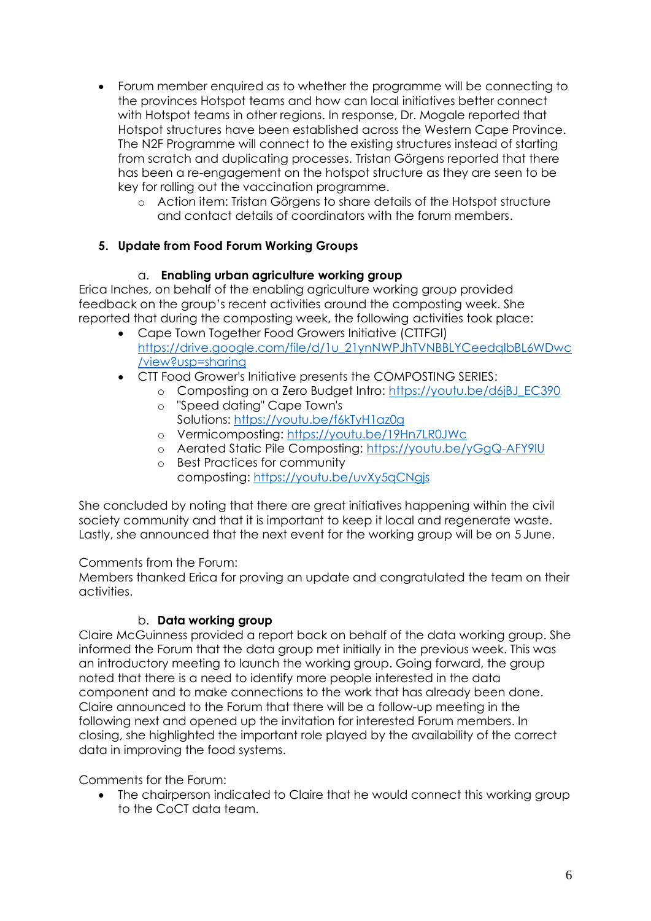- Forum member enquired as to whether the programme will be connecting to the provinces Hotspot teams and how can local initiatives better connect with Hotspot teams in other regions. In response, Dr. Mogale reported that Hotspot structures have been established across the Western Cape Province. The N2F Programme will connect to the existing structures instead of starting from scratch and duplicating processes. Tristan Görgens reported that there has been a re-engagement on the hotspot structure as they are seen to be key for rolling out the vaccination programme.
	- o Action item: Tristan Görgens to share details of the Hotspot structure and contact details of coordinators with the forum members.

## **5. Update from Food Forum Working Groups**

## a. **Enabling urban agriculture working group**

Erica Inches, on behalf of the enabling agriculture working group provided feedback on the group's recent activities around the composting week. She reported that during the composting week, the following activities took place:

- Cape Town Together Food Growers Initiative (CTTFGI) https://drive.google.com/file/d/1u\_21ynNWPJhTVNBBLYCeedalbBL6WDwc [/view?usp=sharing](https://drive.google.com/file/d/1u_21ynNWPJhTVNBBLYCeedqIbBL6WDwc/view?usp=sharing)
- CTT Food Grower's Initiative presents the COMPOSTING SERIES:
	- o Composting on a Zero Budget Intro: [https://youtu.be/d6jBJ\\_EC390](https://youtu.be/d6jBJ_EC390)
	- o "Speed dating" Cape Town's Solutions: <https://youtu.be/f6kTyH1az0g>
	- o Vermicomposting: <https://youtu.be/19Hn7LR0JWc>
	- o Aerated Static Pile Composting: <https://youtu.be/yGgQ-AFY9lU>
	- o Best Practices for community composting: <https://youtu.be/uvXy5qCNgjs>

She concluded by noting that there are great initiatives happening within the civil society community and that it is important to keep it local and regenerate waste. Lastly, she announced that the next event for the working group will be on 5 June.

### Comments from the Forum:

Members thanked Erica for proving an update and congratulated the team on their activities.

## b. **Data working group**

Claire McGuinness provided a report back on behalf of the data working group. She informed the Forum that the data group met initially in the previous week. This was an introductory meeting to launch the working group. Going forward, the group noted that there is a need to identify more people interested in the data component and to make connections to the work that has already been done. Claire announced to the Forum that there will be a follow-up meeting in the following next and opened up the invitation for interested Forum members. In closing, she highlighted the important role played by the availability of the correct data in improving the food systems.

Comments for the Forum:

• The chairperson indicated to Claire that he would connect this working group to the CoCT data team.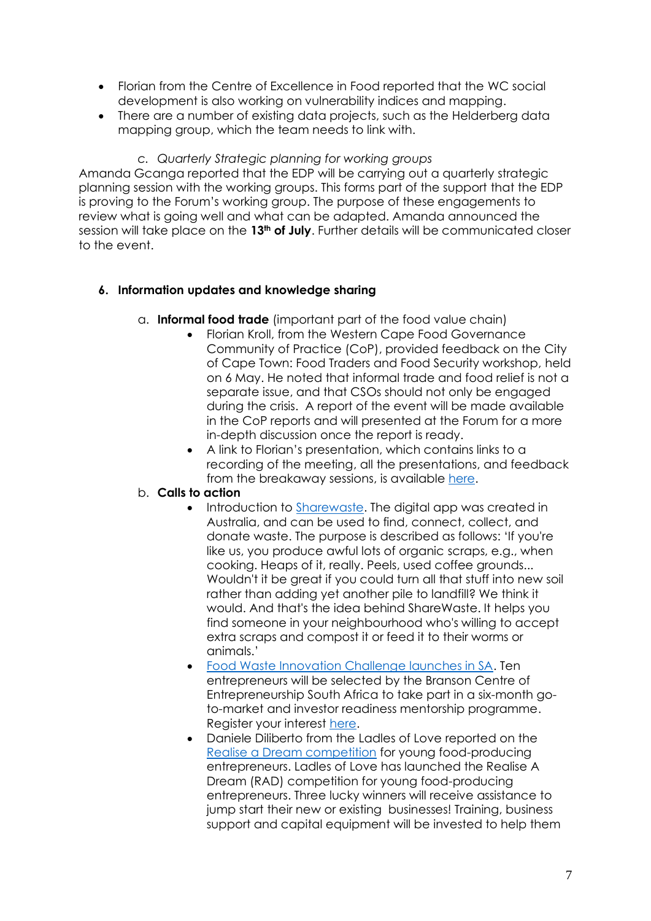- Florian from the Centre of Excellence in Food reported that the WC social development is also working on vulnerability indices and mapping.
- There are a number of existing data projects, such as the Helderberg data mapping group, which the team needs to link with.

*c. Quarterly Strategic planning for working groups* Amanda Gcanga reported that the EDP will be carrying out a quarterly strategic planning session with the working groups. This forms part of the support that the EDP is proving to the Forum's working group. The purpose of these engagements to review what is going well and what can be adapted. Amanda announced the session will take place on the **13th of July**. Further details will be communicated closer to the event.

## **6. Information updates and knowledge sharing**

- a. **Informal food trade** (important part of the food value chain)
	- Florian Kroll, from the Western Cape Food Governance Community of Practice (CoP), provided feedback on the City of Cape Town: Food Traders and Food Security workshop, held on 6 May. He noted that informal trade and food relief is not a separate issue, and that CSOs should not only be engaged during the crisis. A report of the event will be made available in the CoP reports and will presented at the Forum for a more in-depth discussion once the report is ready.
	- A link to Florian's presentation, which contains links to a recording of the meeting, all the presentations, and feedback from the breakaway sessions, is available [here.](https://docs.google.com/presentation/d/1Q2rJ8ma5OhKFeDy1dnSJ8CvKtw6meJdds2eV_uHBopg/edit#slide=id.g7b43351761_0_251)

### b. **Calls to action**

- Introduction to [Sharewaste.](https://sharewaste.com/how-it-works) The digital app was created in Australia, and can be used to find, connect, collect, and donate waste. The purpose is described as follows: 'If you're like us, you produce awful lots of organic scraps, e.g., when cooking. Heaps of it, really. Peels, used coffee grounds... Wouldn't it be great if you could turn all that stuff into new soil rather than adding yet another pile to landfill? We think it would. And that's the idea behind ShareWaste. It helps you find someone in your neighbourhood who's willing to accept extra scraps and compost it or feed it to their worms or animals.'
- [Food Waste Innovation Challenge launches in SA.](https://ventureburn.com/2021/05/food-waste-innovation-challenge-launches-in-sa/) Ten entrepreneurs will be selected by the Branson Centre of Entrepreneurship South Africa to take part in a six-month goto-market and investor readiness mentorship programme. Register your interest [here.](https://www.bransoncentre.co.za/food-waste?utm_campaign=861cce69-d326-41fc-ad95-e533c8c35bbf&utm_source=so&utm_medium=mail&cid=704c0a58-d36d-404e-ab2e-16438902e441)
- Daniele Diliberto from the Ladles of Love reported on the [Realise a Dream competition](https://youtu.be/B6BFovMO4_U) for young food-producing entrepreneurs. Ladles of Love has launched the Realise A Dream (RAD) competition for young food-producing entrepreneurs. Three lucky winners will receive assistance to jump start their new or existing businesses! Training, business support and capital equipment will be invested to help them